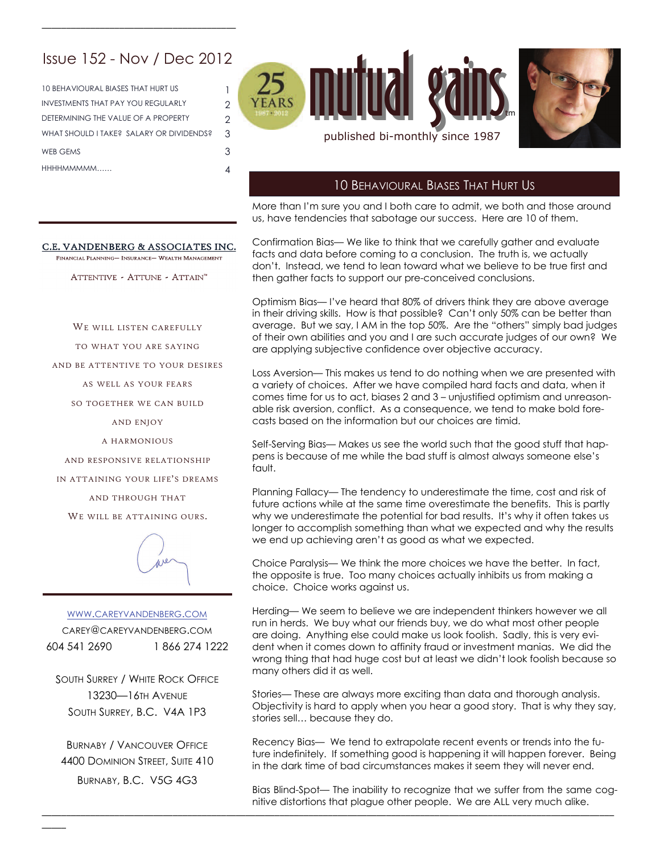# Issue 152 - Nov / Dec 2012

\_\_\_\_\_\_\_\_\_\_\_\_\_\_\_\_\_\_\_\_\_\_\_\_\_\_\_\_\_\_\_\_\_\_\_\_\_\_\_\_

| <b>10 BEHAVIOURAL BIASES THAT HURT US</b> |               |
|-------------------------------------------|---------------|
| INVESTMENTS THAT PAY YOU REGULARLY        | 2             |
| DETERMINING THE VALUE OF A PROPERTY       | $\mathcal{P}$ |
| WHAT SHOULD I TAKE? SALARY OR DIVIDENDS?  | 3             |
| <b>WEB GEMS</b>                           | २             |
| HHHHMMMMM                                 |               |
|                                           |               |



FINANCIAL PLANNING- INSURANCE- WEALTH MANAGEMENT

ATTENTIVE - ATTUNE - ATTAIN™

WE WILL LISTEN CAREFULLY

TO WHAT YOU ARE SAYING

AND BE ATTENTIVE TO YOUR DESIRES

AS WELL AS YOUR FEARS

SO TOGETHER WE CAN BUILD

AND ENJOY

A HARMONIOUS

AND RESPONSIVE RELATIONSHIP

IN ATTAINING YOUR LIFE'S DREAMS

AND THROUGH THAT

WE WILL BE ATTAINING OURS.



[WWW.CAREYVANDENBERG.COM](http://careyvandenberg.com)

CAREY@CAREYVANDENBERG.COM 604 541 2690 1 866 274 1222

SOUTH SURREY / WHITE ROCK OFFICE 13230—16TH AVENUE SOUTH SURREY, B.C. V4A 1P3

BURNABY / VANCOUVER OFFICE 4400 DOMINION STREET, SUITE 410 BURNABY, B.C. V5G 4G3

 $\overline{\phantom{a}}$ 





More than I'm sure you and I both care to admit, we both and those around us, have tendencies that sabotage our success. Here are 10 of them.

Confirmation Bias— We like to think that we carefully gather and evaluate facts and data before coming to a conclusion. The truth is, we actually don't. Instead, we tend to lean toward what we believe to be true first and then gather facts to support our pre-conceived conclusions.

Optimism Bias— I've heard that 80% of drivers think they are above average in their driving skills. How is that possible? Can't only 50% can be better than average. But we say, I AM in the top 50%. Are the "others" simply bad judges of their own abilities and you and I are such accurate judges of our own? We are applying subjective confidence over objective accuracy.

Loss Aversion— This makes us tend to do nothing when we are presented with a variety of choices. After we have compiled hard facts and data, when it comes time for us to act, biases 2 and 3 – unjustified optimism and unreasonable risk aversion, conflict. As a consequence, we tend to make bold forecasts based on the information but our choices are timid.

Self-Serving Bias— Makes us see the world such that the good stuff that happens is because of me while the bad stuff is almost always someone else's fault.

Planning Fallacy— The tendency to underestimate the time, cost and risk of future actions while at the same time overestimate the benefits. This is partly why we underestimate the potential for bad results. It's why it often takes us longer to accomplish something than what we expected and why the results we end up achieving aren't as good as what we expected.

Choice Paralysis— We think the more choices we have the better. In fact, the opposite is true. Too many choices actually inhibits us from making a choice. Choice works against us.

Herding— We seem to believe we are independent thinkers however we all run in herds. We buy what our friends buy, we do what most other people are doing. Anything else could make us look foolish. Sadly, this is very evident when it comes down to affinity fraud or investment manias. We did the wrong thing that had huge cost but at least we didn't look foolish because so many others did it as well.

Stories— These are always more exciting than data and thorough analysis. Objectivity is hard to apply when you hear a good story. That is why they say, stories sell… because they do.

Recency Bias— We tend to extrapolate recent events or trends into the future indefinitely. If something good is happening it will happen forever. Being in the dark time of bad circumstances makes it seem they will never end.

Bias Blind-Spot— The inability to recognize that we suffer from the same cognitive distortions that plague other people. We are ALL very much alike.

\_\_\_\_\_\_\_\_\_\_\_\_\_\_\_\_\_\_\_\_\_\_\_\_\_\_\_\_\_\_\_\_\_\_\_\_\_\_\_\_\_\_\_\_\_\_\_\_\_\_\_\_\_\_\_\_\_\_\_\_\_\_\_\_\_\_\_\_\_\_\_\_\_\_\_\_\_\_\_\_\_\_\_\_\_\_\_\_\_\_\_\_\_\_\_\_\_\_\_\_\_\_\_\_\_\_\_\_\_\_\_\_\_\_\_\_\_\_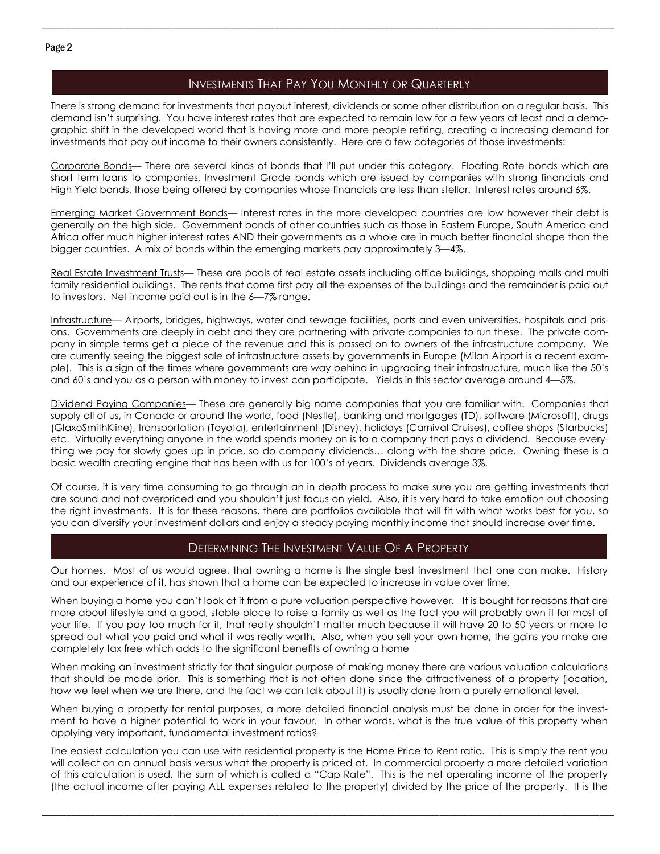# INVESTMENTS THAT PAY YOU MONTHLY OR QUARTERLY

\_\_\_\_\_\_\_\_\_\_\_\_\_\_\_\_\_\_\_\_\_\_\_\_\_\_\_\_\_\_\_\_\_\_\_\_\_\_\_\_\_\_\_\_\_\_\_\_\_\_\_\_\_\_\_\_\_\_\_\_\_\_\_\_\_\_\_\_\_\_\_\_\_\_\_\_\_\_\_\_\_\_\_\_\_\_\_\_\_\_\_\_\_\_\_\_\_\_\_\_\_\_\_\_\_\_\_\_\_\_\_\_\_\_\_\_\_\_

There is strong demand for investments that payout interest, dividends or some other distribution on a regular basis. This demand isn't surprising. You have interest rates that are expected to remain low for a few years at least and a demographic shift in the developed world that is having more and more people retiring, creating a increasing demand for investments that pay out income to their owners consistently. Here are a few categories of those investments:

Corporate Bonds— There are several kinds of bonds that I'll put under this category. Floating Rate bonds which are short term loans to companies, Investment Grade bonds which are issued by companies with strong financials and High Yield bonds, those being offered by companies whose financials are less than stellar. Interest rates around 6%.

Emerging Market Government Bonds— Interest rates in the more developed countries are low however their debt is generally on the high side. Government bonds of other countries such as those in Eastern Europe, South America and Africa offer much higher interest rates AND their governments as a whole are in much better financial shape than the bigger countries. A mix of bonds within the emerging markets pay approximately 3—4%.

Real Estate Investment Trusts— These are pools of real estate assets including office buildings, shopping malls and multi family residential buildings. The rents that come first pay all the expenses of the buildings and the remainder is paid out to investors. Net income paid out is in the 6—7% range.

Infrastructure— Airports, bridges, highways, water and sewage facilities, ports and even universities, hospitals and prisons. Governments are deeply in debt and they are partnering with private companies to run these. The private company in simple terms get a piece of the revenue and this is passed on to owners of the infrastructure company. We are currently seeing the biggest sale of infrastructure assets by governments in Europe (Milan Airport is a recent example). This is a sign of the times where governments are way behind in upgrading their infrastructure, much like the 50's and 60's and you as a person with money to invest can participate. Yields in this sector average around 4—5%.

Dividend Paying Companies— These are generally big name companies that you are familiar with. Companies that supply all of us, in Canada or around the world, food (Nestle), banking and mortgages (TD), software (Microsoft), drugs (GlaxoSmithKline), transportation (Toyota), entertainment (Disney), holidays (Carnival Cruises), coffee shops (Starbucks) etc. Virtually everything anyone in the world spends money on is to a company that pays a dividend. Because everything we pay for slowly goes up in price, so do company dividends… along with the share price. Owning these is a basic wealth creating engine that has been with us for 100's of years. Dividends average 3%.

Of course, it is very time consuming to go through an in depth process to make sure you are getting investments that are sound and not overpriced and you shouldn't just focus on yield. Also, it is very hard to take emotion out choosing the right investments. It is for these reasons, there are portfolios available that will fit with what works best for you, so you can diversify your investment dollars and enjoy a steady paying monthly income that should increase over time.

#### DETERMINING THE INVESTMENT VALUE OF A PROPERTY

Our homes. Most of us would agree, that owning a home is the single best investment that one can make. History and our experience of it, has shown that a home can be expected to increase in value over time.

When buying a home you can't look at it from a pure valuation perspective however. It is bought for reasons that are more about lifestyle and a good, stable place to raise a family as well as the fact you will probably own it for most of your life. If you pay too much for it, that really shouldn't matter much because it will have 20 to 50 years or more to spread out what you paid and what it was really worth. Also, when you sell your own home, the gains you make are completely tax free which adds to the significant benefits of owning a home

When making an investment strictly for that singular purpose of making money there are various valuation calculations that should be made prior. This is something that is not often done since the attractiveness of a property (location, how we feel when we are there, and the fact we can talk about it) is usually done from a purely emotional level.

When buying a property for rental purposes, a more detailed financial analysis must be done in order for the investment to have a higher potential to work in your favour. In other words, what is the true value of this property when applying very important, fundamental investment ratios?

The easiest calculation you can use with residential property is the Home Price to Rent ratio. This is simply the rent you will collect on an annual basis versus what the property is priced at. In commercial property a more detailed variation of this calculation is used, the sum of which is called a "Cap Rate". This is the net operating income of the property (the actual income after paying ALL expenses related to the property) divided by the price of the property. It is the

\_\_\_\_\_\_\_\_\_\_\_\_\_\_\_\_\_\_\_\_\_\_\_\_\_\_\_\_\_\_\_\_\_\_\_\_\_\_\_\_\_\_\_\_\_\_\_\_\_\_\_\_\_\_\_\_\_\_\_\_\_\_\_\_\_\_\_\_\_\_\_\_\_\_\_\_\_\_\_\_\_\_\_\_\_\_\_\_\_\_\_\_\_\_\_\_\_\_\_\_\_\_\_\_\_\_\_\_\_\_\_\_\_\_\_\_\_\_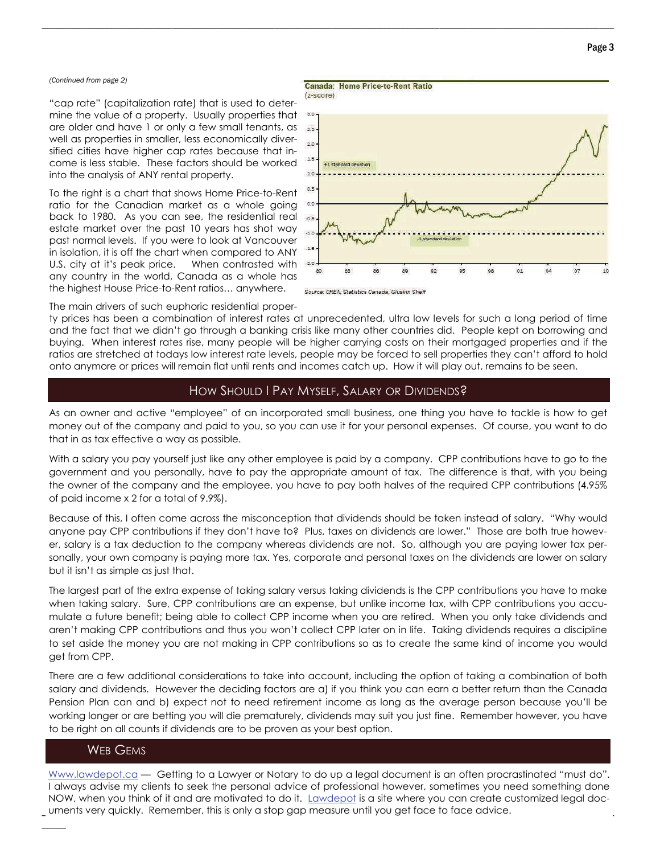#### *(Continued from page 2)*

"cap rate" (capitalization rate) that is used to determine the value of a property. Usually properties that are older and have 1 or only a few small tenants, as  $25$ well as properties in smaller, less economically diversified cities have higher cap rates because that income is less stable. These factors should be worked into the analysis of ANY rental property.

To the right is a chart that shows Home Price-to-Rent ratio for the Canadian market as a whole going back to 1980. As you can see, the residential real estate market over the past 10 years has shot way past normal levels. If you were to look at Vancouver in isolation, it is off the chart when compared to ANY U.S. city at it's peak price. When contrasted with any country in the world, Canada as a whole has the highest House Price-to-Rent ratios… anywhere.

**Canada: Home Price-to-Rent Ratio**  $(z\text{-score})$ 

\_\_\_\_\_\_\_\_\_\_\_\_\_\_\_\_\_\_\_\_\_\_\_\_\_\_\_\_\_\_\_\_\_\_\_\_\_\_\_\_\_\_\_\_\_\_\_\_\_\_\_\_\_\_\_\_\_\_\_\_\_\_\_\_\_\_\_\_\_\_\_\_\_\_\_\_\_\_\_\_\_\_\_\_\_\_\_\_\_\_\_\_\_\_\_\_\_\_\_\_\_\_\_\_\_\_\_\_\_\_\_\_\_\_\_\_\_\_



Source: CREA, Statistics Canada, Gluskin Sheft

The main drivers of such euphoric residential proper-

ty prices has been a combination of interest rates at unprecedented, ultra low levels for such a long period of time and the fact that we didn't go through a banking crisis like many other countries did. People kept on borrowing and buying. When interest rates rise, many people will be higher carrying costs on their mortgaged properties and if the ratios are stretched at todays low interest rate levels, people may be forced to sell properties they can't afford to hold onto anymore or prices will remain flat until rents and incomes catch up. How it will play out, remains to be seen.

### HOW SHOULD I PAY MYSELF, SALARY OR DIVIDENDS?

As an owner and active "employee" of an incorporated small business, one thing you have to tackle is how to get money out of the company and paid to you, so you can use it for your personal expenses. Of course, you want to do that in as tax effective a way as possible.

With a salary you pay yourself just like any other employee is paid by a company. CPP contributions have to go to the government and you personally, have to pay the appropriate amount of tax. The difference is that, with you being the owner of the company and the employee, you have to pay both halves of the required CPP contributions (4.95% of paid income x 2 for a total of 9.9%).

Because of this, I often come across the misconception that dividends should be taken instead of salary. "Why would anyone pay CPP contributions if they don't have to? Plus, taxes on dividends are lower." Those are both true however, salary is a tax deduction to the company whereas dividends are not. So, although you are paying lower tax personally, your own company is paying more tax. Yes, corporate and personal taxes on the dividends are lower on salary but it isn't as simple as just that.

The largest part of the extra expense of taking salary versus taking dividends is the CPP contributions you have to make when taking salary. Sure, CPP contributions are an expense, but unlike income tax, with CPP contributions you accumulate a future benefit; being able to collect CPP income when you are retired. When you only take dividends and aren't making CPP contributions and thus you won't collect CPP later on in life. Taking dividends requires a discipline to set aside the money you are not making in CPP contributions so as to create the same kind of income you would get from CPP.

There are a few additional considerations to take into account, including the option of taking a combination of both salary and dividends. However the deciding factors are a) if you think you can earn a better return than the Canada Pension Plan can and b) expect not to need retirement income as long as the average person because you'll be working longer or are betting you will die prematurely, dividends may suit you just fine. Remember however, you have to be right on all counts if dividends are to be proven as your best option.

#### WEB GEMS

 $\overline{\phantom{a}}$ 

\_uments very quickly. Remember, this is only a stop gap measure until you get face to face advice.  $\hfill\blacksquare$ [Www.lawdepot.ca](http://www.lawdepot.ca) — Getting to a Lawyer or Notary to do up a legal document is an often procrastinated "must do". I always advise my clients to seek the personal advice of professional however, sometimes you need something done NOW, when you think of it and are motivated to do it. [Lawdepot](http://www.lawdepot.ca) is a site where you can create customized legal doc-